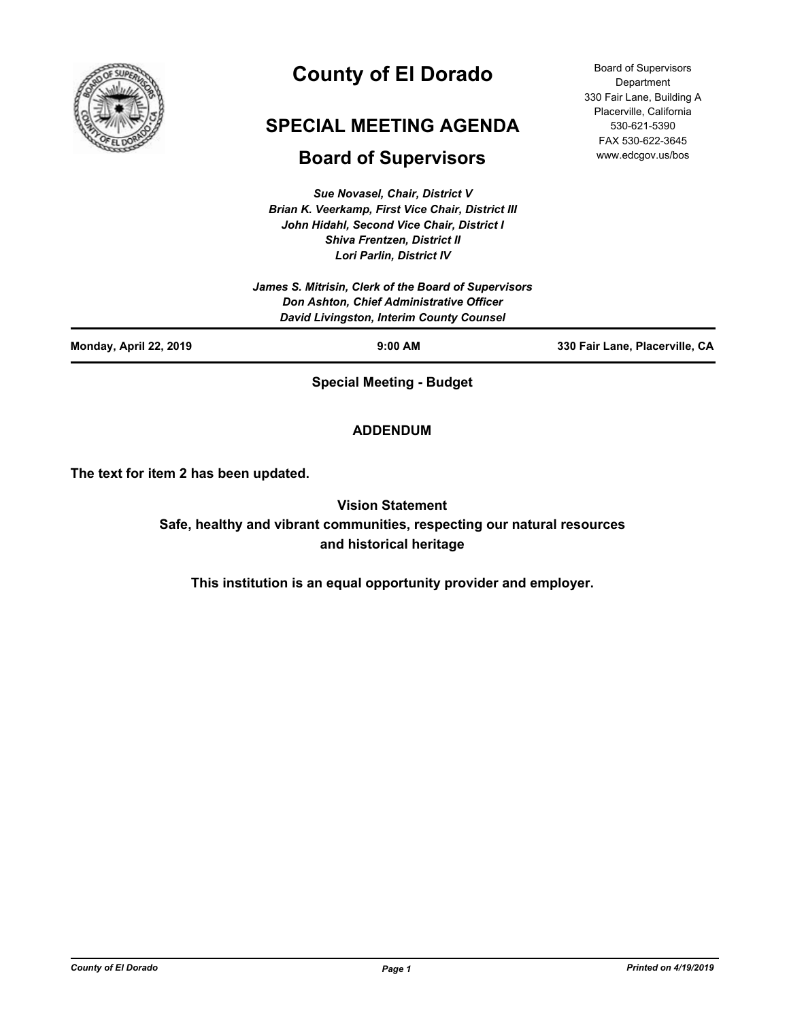

# **County of El Dorado**

# **SPECIAL MEETING AGENDA**

# **Board of Supervisors**

*Sue Novasel, Chair, District V Brian K. Veerkamp, First Vice Chair, District III John Hidahl, Second Vice Chair, District I Shiva Frentzen, District II Lori Parlin, District IV*

*James S. Mitrisin, Clerk of the Board of Supervisors Don Ashton, Chief Administrative Officer David Livingston, Interim County Counsel*

**Monday, April 22, 2019 9:00 AM 330 Fair Lane, Placerville, CA**

Board of Supervisors **Department** 330 Fair Lane, Building A Placerville, California 530-621-5390 FAX 530-622-3645 www.edcgov.us/bos

**Special Meeting - Budget**

# **ADDENDUM**

**The text for item 2 has been updated.**

**Vision Statement Safe, healthy and vibrant communities, respecting our natural resources and historical heritage**

**This institution is an equal opportunity provider and employer.**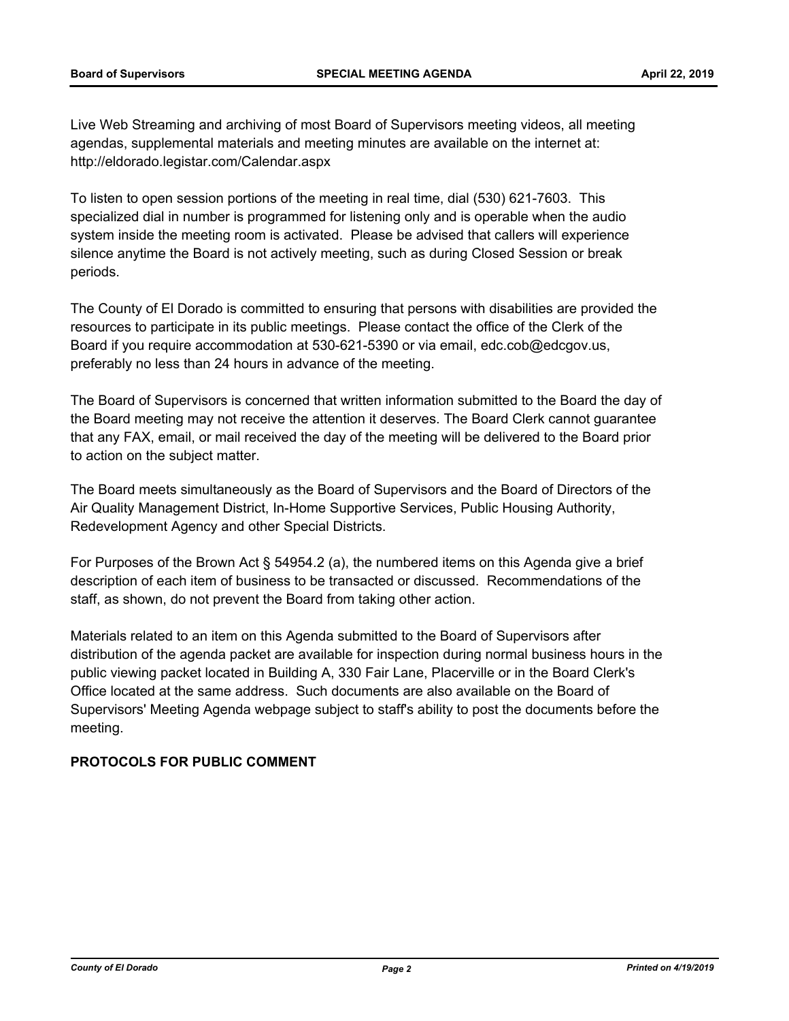Live Web Streaming and archiving of most Board of Supervisors meeting videos, all meeting agendas, supplemental materials and meeting minutes are available on the internet at: http://eldorado.legistar.com/Calendar.aspx

To listen to open session portions of the meeting in real time, dial (530) 621-7603. This specialized dial in number is programmed for listening only and is operable when the audio system inside the meeting room is activated. Please be advised that callers will experience silence anytime the Board is not actively meeting, such as during Closed Session or break periods.

The County of El Dorado is committed to ensuring that persons with disabilities are provided the resources to participate in its public meetings. Please contact the office of the Clerk of the Board if you require accommodation at 530-621-5390 or via email, edc.cob@edcgov.us, preferably no less than 24 hours in advance of the meeting.

The Board of Supervisors is concerned that written information submitted to the Board the day of the Board meeting may not receive the attention it deserves. The Board Clerk cannot guarantee that any FAX, email, or mail received the day of the meeting will be delivered to the Board prior to action on the subject matter.

The Board meets simultaneously as the Board of Supervisors and the Board of Directors of the Air Quality Management District, In-Home Supportive Services, Public Housing Authority, Redevelopment Agency and other Special Districts.

For Purposes of the Brown Act § 54954.2 (a), the numbered items on this Agenda give a brief description of each item of business to be transacted or discussed. Recommendations of the staff, as shown, do not prevent the Board from taking other action.

Materials related to an item on this Agenda submitted to the Board of Supervisors after distribution of the agenda packet are available for inspection during normal business hours in the public viewing packet located in Building A, 330 Fair Lane, Placerville or in the Board Clerk's Office located at the same address. Such documents are also available on the Board of Supervisors' Meeting Agenda webpage subject to staff's ability to post the documents before the meeting.

#### **PROTOCOLS FOR PUBLIC COMMENT**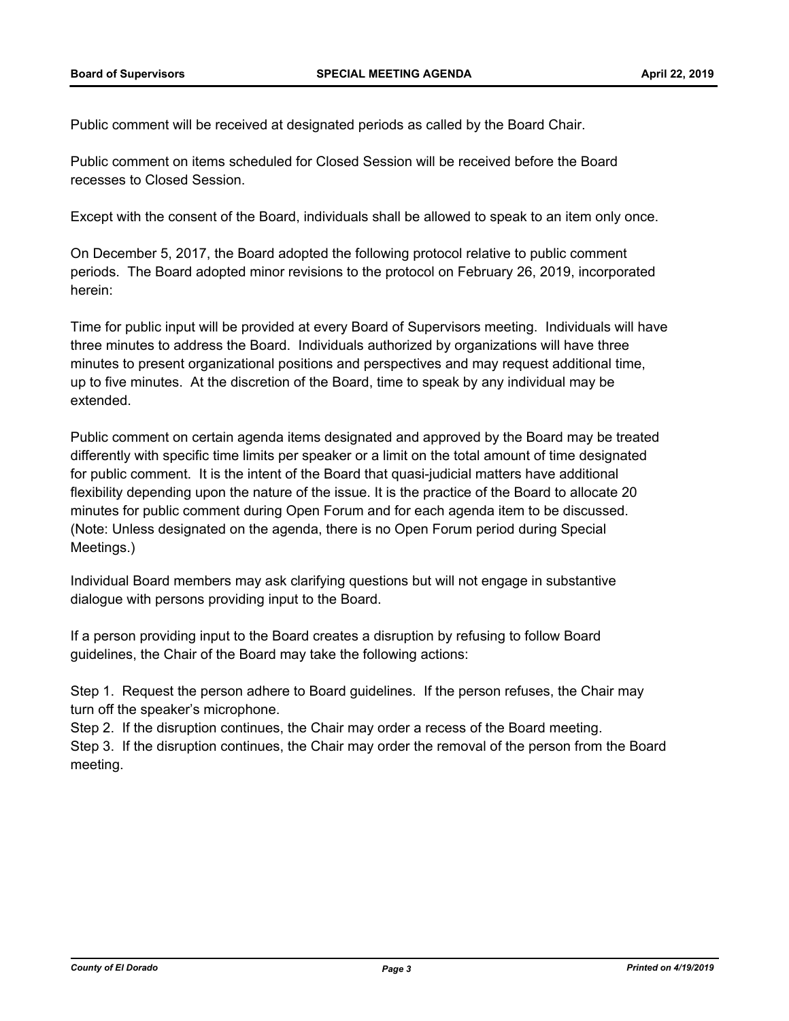Public comment will be received at designated periods as called by the Board Chair.

Public comment on items scheduled for Closed Session will be received before the Board recesses to Closed Session.

Except with the consent of the Board, individuals shall be allowed to speak to an item only once.

On December 5, 2017, the Board adopted the following protocol relative to public comment periods. The Board adopted minor revisions to the protocol on February 26, 2019, incorporated herein:

Time for public input will be provided at every Board of Supervisors meeting. Individuals will have three minutes to address the Board. Individuals authorized by organizations will have three minutes to present organizational positions and perspectives and may request additional time, up to five minutes. At the discretion of the Board, time to speak by any individual may be extended.

Public comment on certain agenda items designated and approved by the Board may be treated differently with specific time limits per speaker or a limit on the total amount of time designated for public comment. It is the intent of the Board that quasi-judicial matters have additional flexibility depending upon the nature of the issue. It is the practice of the Board to allocate 20 minutes for public comment during Open Forum and for each agenda item to be discussed. (Note: Unless designated on the agenda, there is no Open Forum period during Special Meetings.)

Individual Board members may ask clarifying questions but will not engage in substantive dialogue with persons providing input to the Board.

If a person providing input to the Board creates a disruption by refusing to follow Board guidelines, the Chair of the Board may take the following actions:

Step 1. Request the person adhere to Board guidelines. If the person refuses, the Chair may turn off the speaker's microphone.

Step 2. If the disruption continues, the Chair may order a recess of the Board meeting. Step 3. If the disruption continues, the Chair may order the removal of the person from the Board meeting.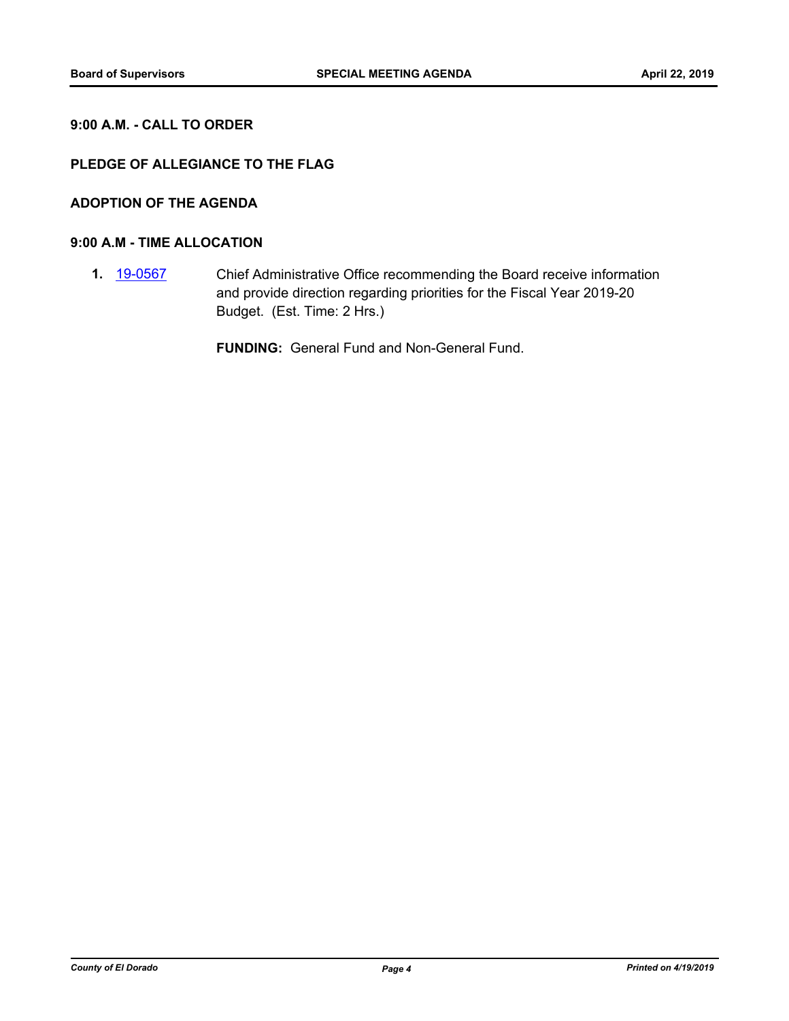# **9:00 A.M. - CALL TO ORDER**

# **PLEDGE OF ALLEGIANCE TO THE FLAG**

# **ADOPTION OF THE AGENDA**

#### **9:00 A.M - TIME ALLOCATION**

**1.** [19-0567](http://eldorado.legistar.com/gateway.aspx?m=l&id=/matter.aspx?key=25888) Chief Administrative Office recommending the Board receive information and provide direction regarding priorities for the Fiscal Year 2019-20 Budget. (Est. Time: 2 Hrs.)

**FUNDING:** General Fund and Non-General Fund.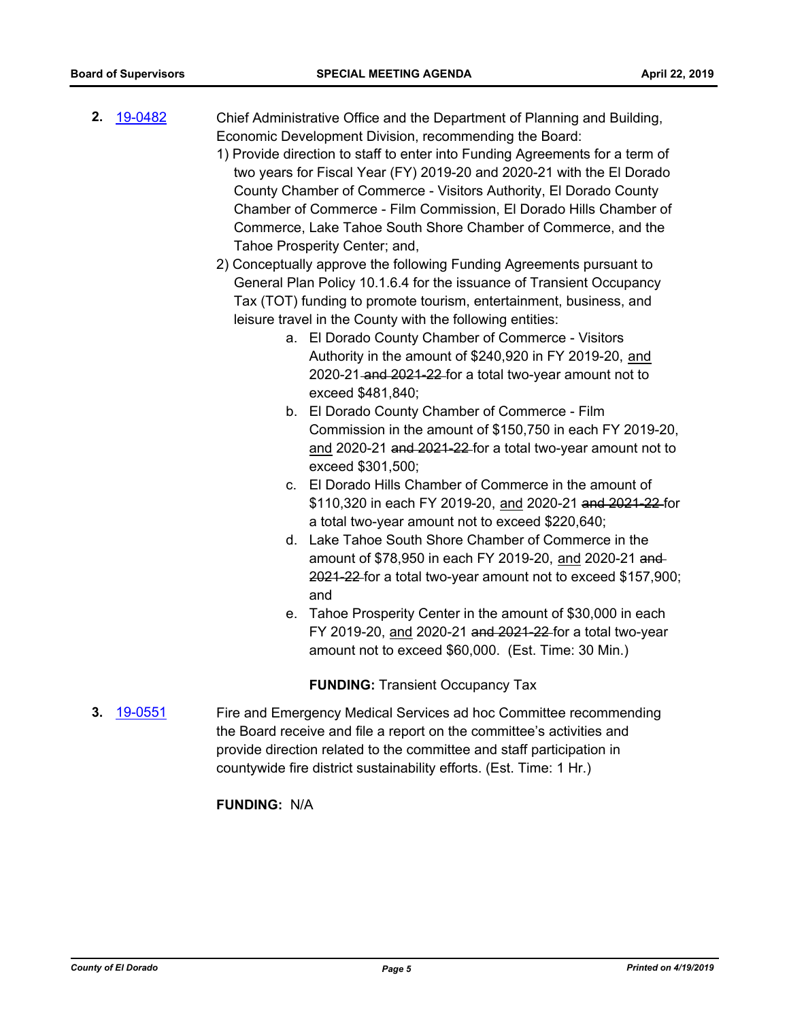- **2.** [19-0482](http://eldorado.legistar.com/gateway.aspx?m=l&id=/matter.aspx?key=25803) Chief Administrative Office and the Department of Planning and Building, Economic Development Division, recommending the Board:
	- 1) Provide direction to staff to enter into Funding Agreements for a term of two years for Fiscal Year (FY) 2019-20 and 2020-21 with the El Dorado County Chamber of Commerce - Visitors Authority, El Dorado County Chamber of Commerce - Film Commission, El Dorado Hills Chamber of Commerce, Lake Tahoe South Shore Chamber of Commerce, and the Tahoe Prosperity Center; and,
	- 2) Conceptually approve the following Funding Agreements pursuant to General Plan Policy 10.1.6.4 for the issuance of Transient Occupancy Tax (TOT) funding to promote tourism, entertainment, business, and leisure travel in the County with the following entities:
		- a. El Dorado County Chamber of Commerce Visitors Authority in the amount of \$240,920 in FY 2019-20, and 2020-21 and 2021-22 for a total two-year amount not to exceed \$481,840;
		- b. El Dorado County Chamber of Commerce Film Commission in the amount of \$150,750 in each FY 2019-20, and 2020-21 and 2021-22 for a total two-year amount not to exceed \$301,500;
		- c. El Dorado Hills Chamber of Commerce in the amount of \$110,320 in each FY 2019-20, and 2020-21 and 2021-22 for a total two-year amount not to exceed \$220,640;
		- d. Lake Tahoe South Shore Chamber of Commerce in the amount of \$78,950 in each FY 2019-20, and 2020-21 and 2021-22 for a total two-year amount not to exceed \$157,900; and
		- e. Tahoe Prosperity Center in the amount of \$30,000 in each FY 2019-20, and 2020-21 and 2021-22 for a total two-year amount not to exceed \$60,000. (Est. Time: 30 Min.)

**FUNDING:** Transient Occupancy Tax

**3.** [19-0551](http://eldorado.legistar.com/gateway.aspx?m=l&id=/matter.aspx?key=25872) Fire and Emergency Medical Services ad hoc Committee recommending the Board receive and file a report on the committee's activities and provide direction related to the committee and staff participation in countywide fire district sustainability efforts. (Est. Time: 1 Hr.)

#### **FUNDING:** N/A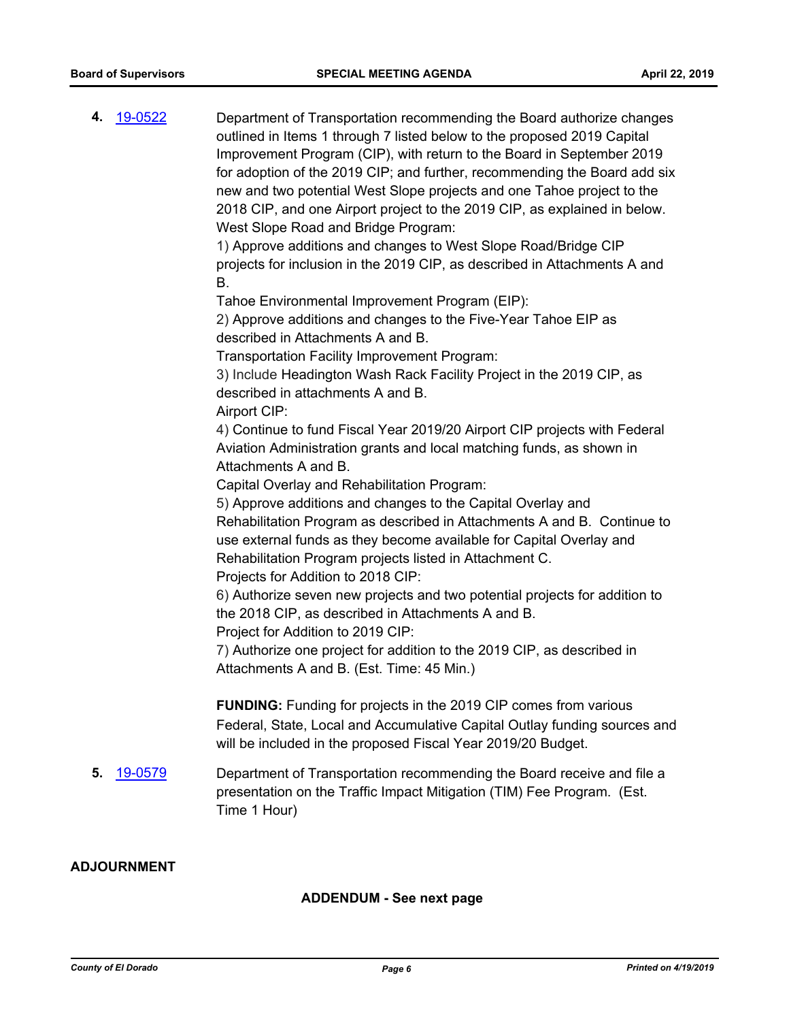**4.** [19-0522](http://eldorado.legistar.com/gateway.aspx?m=l&id=/matter.aspx?key=25843) Department of Transportation recommending the Board authorize changes outlined in Items 1 through 7 listed below to the proposed 2019 Capital Improvement Program (CIP), with return to the Board in September 2019 for adoption of the 2019 CIP; and further, recommending the Board add six new and two potential West Slope projects and one Tahoe project to the 2018 CIP, and one Airport project to the 2019 CIP, as explained in below. West Slope Road and Bridge Program: 1) Approve additions and changes to West Slope Road/Bridge CIP projects for inclusion in the 2019 CIP, as described in Attachments A and B. Tahoe Environmental Improvement Program (EIP): 2) Approve additions and changes to the Five-Year Tahoe EIP as described in Attachments A and B. Transportation Facility Improvement Program: 3) Include Headington Wash Rack Facility Project in the 2019 CIP, as described in attachments A and B. Airport CIP: 4) Continue to fund Fiscal Year 2019/20 Airport CIP projects with Federal Aviation Administration grants and local matching funds, as shown in Attachments A and B. Capital Overlay and Rehabilitation Program: 5) Approve additions and changes to the Capital Overlay and Rehabilitation Program as described in Attachments A and B. Continue to use external funds as they become available for Capital Overlay and Rehabilitation Program projects listed in Attachment C. Projects for Addition to 2018 CIP: 6) Authorize seven new projects and two potential projects for addition to the 2018 CIP, as described in Attachments A and B. Project for Addition to 2019 CIP: 7) Authorize one project for addition to the 2019 CIP, as described in Attachments A and B. (Est. Time: 45 Min.) **FUNDING:** Funding for projects in the 2019 CIP comes from various Federal, State, Local and Accumulative Capital Outlay funding sources and will be included in the proposed Fiscal Year 2019/20 Budget. **5.** [19-0579](http://eldorado.legistar.com/gateway.aspx?m=l&id=/matter.aspx?key=25900) Department of Transportation recommending the Board receive and file a presentation on the Traffic Impact Mitigation (TIM) Fee Program. (Est. Time 1 Hour)

## **ADJOURNMENT**

#### **ADDENDUM - See next page**